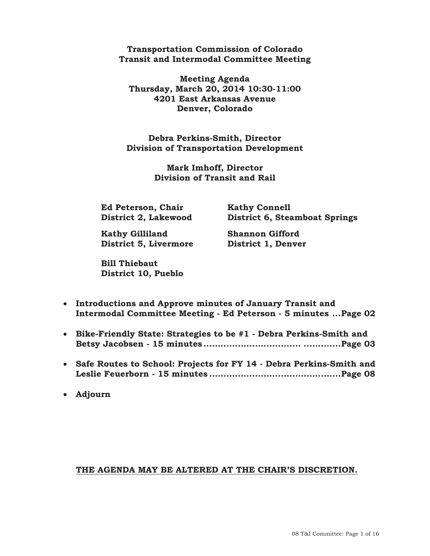#### **Transportation Commission of Colorado Transit and Intermodal Committee Meeting**

**Meeting Agenda Thursday, March 20, 2014 10:30-11:00 4201 East Arkansas Avenue Denver, Colorado** 

**Debra Perkins-Smith, Director Division of Transportation Development** 

> **Mark Imhoff, Director Division of Transit and Rail**

**Ed Peterson, Chair Kathy Connell** 

 **District 2, Lakewood District 6, Steamboat Springs** 

 **Kathy Gilliland Shannon Gifford District 5, Livermore District 1, Denver** 

 **Bill Thiebaut District 10, Pueblo** 

- x **Introductions and Approve minutes of January Transit and Intermodal Committee Meeting - Ed Peterson - 5 minutes ... Page**
- x **Bike-Friendly State: Strategies to be #1 Debra Perkins-Smith and Betsy Jacobsen - 15 minutes .................................. ............. Page**
- x **Safe Routes to School: Projects for FY 14 Debra Perkins-Smith and Leslie Feuerborn - 15 minutes .............................................. Page**

**•** Adjourn

#### **THE AGENDA MAY BE ALTERED AT THE CHAIR'S DISCRETION.**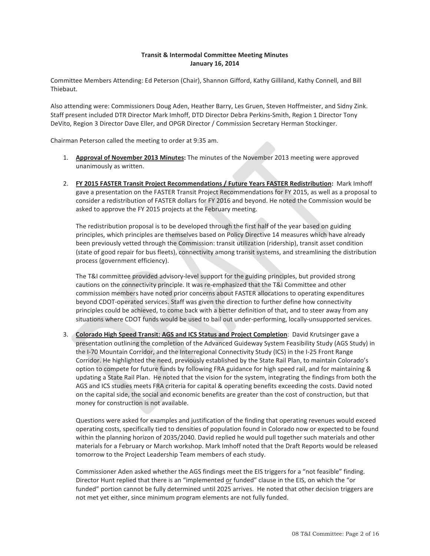#### **Transit & Intermodal Committee Meeting Minutes January 16, 2014**

Committee Members Attending: Ed Peterson (Chair), Shannon Gifford, Kathy Gilliland, Kathy Connell, and Bill Thiebaut.

Also attending were: Commissioners Doug Aden, Heather Barry, Les Gruen, Steven Hoffmeister, and Sidny Zink. Staff present included DTR Director Mark Imhoff, DTD Director Debra Perkins-Smith, Region 1 Director Tony DeVito, Region 3 Director Dave Eller, and OPGR Director / Commission Secretary Herman Stockinger.

Chairman Peterson called the meeting to order at 9:35 am.

- 1. **Approval of November 2013 Minutes:** The minutes of the November 2013 meeting were approved unanimously as written.
- 2. **FY 2015 FASTER Transit Project Recommendations / Future Years FASTER Redistribution:** Mark Imhoff gave a presentation on the FASTER Transit Project Recommendations for FY 2015, as well as a proposal to consider a redistribution of FASTER dollars for FY 2016 and beyond. He noted the Commission would be asked to approve the FY 2015 projects at the February meeting.

The redistribution proposal is to be developed through the first half of the year based on guiding principles, which principles are themselves based on Policy Directive 14 measures which have already been previously vetted through the Commission: transit utilization (ridership), transit asset condition (state of good repair for bus fleets), connectivity among transit systems, and streamlining the distribution process (government efficiency).

The T&I committee provided advisory-level support for the guiding principles, but provided strong cautions on the connectivity principle. It was re-emphasized that the T&I Committee and other commission members have noted prior concerns about FASTER allocations to operating expenditures beyond CDOT-operated services. Staff was given the direction to further define how connectivity principles could be achieved, to come back with a better definition of that, and to steer away from any situations where CDOT funds would be used to bail out under-performing, locally-unsupported services.

3. **Colorado High Speed Transit: AGS and ICS Status and Project Completion**: David Krutsinger gave a presentation outlining the completion of the Advanced Guideway System Feasibility Study (AGS Study) in the I-70 Mountain Corridor, and the Interregional Connectivity Study (ICS) in the I-25 Front Range Corridor. He highlighted the need, previously established by the State Rail Plan, to maintain Colorado's option to compete for future funds by following FRA guidance for high speed rail, and for maintaining & updating a State Rail Plan. He noted that the vision for the system, integrating the findings from both the AGS and ICS studies meets FRA criteria for capital & operating benefits exceeding the costs. David noted on the capital side, the social and economic benefits are greater than the cost of construction, but that money for construction is not available.

Questions were asked for examples and justification of the finding that operating revenues would exceed operating costs, specifically tied to densities of population found in Colorado now or expected to be found within the planning horizon of 2035/2040. David replied he would pull together such materials and other materials for a February or March workshop. Mark Imhoff noted that the Draft Reports would be released tomorrow to the Project Leadership Team members of each study.

Commissioner Aden asked whether the AGS findings meet the EIS triggers for a "not feasible" finding. Director Hunt replied that there is an "implemented or funded" clause in the EIS, on which the "or funded" portion cannot be fully determined until 2025 arrives. He noted that other decision triggers are not met yet either, since minimum program elements are not fully funded.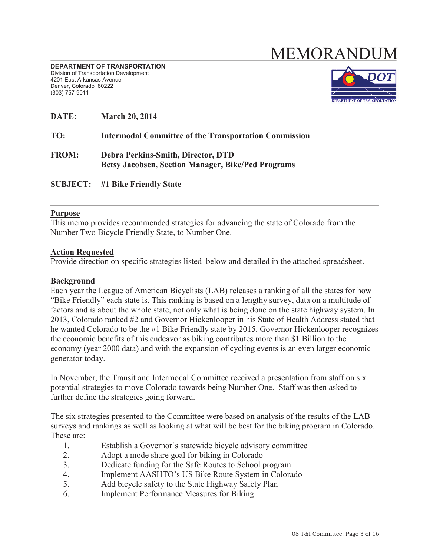# MEMORANDU

**DEPARTMENT OF TRANSPORTATION** Division of Transportation Development 4201 East Arkansas Avenue Denver, Colorado 80222 (303) 757-9011



| DATE:        | <b>March 20, 2014</b>                                                                           |
|--------------|-------------------------------------------------------------------------------------------------|
| TO:          | <b>Intermodal Committee of the Transportation Commission</b>                                    |
| <b>FROM:</b> | Debra Perkins-Smith, Director, DTD<br><b>Betsy Jacobsen, Section Manager, Bike/Ped Programs</b> |
|              | <b>SUBJECT:</b> #1 Bike Friendly State                                                          |

#### **Purpose**

This memo provides recommended strategies for advancing the state of Colorado from the Number Two Bicycle Friendly State, to Number One.

#### **Action Requested**

Provide direction on specific strategies listed below and detailed in the attached spreadsheet.

#### **Background**

Each year the League of American Bicyclists (LAB) releases a ranking of all the states for how "Bike Friendly" each state is. This ranking is based on a lengthy survey, data on a multitude of factors and is about the whole state, not only what is being done on the state highway system. In 2013, Colorado ranked #2 and Governor Hickenlooper in his State of Health Address stated that he wanted Colorado to be the #1 Bike Friendly state by 2015. Governor Hickenlooper recognizes the economic benefits of this endeavor as biking contributes more than \$1 Billion to the economy (year 2000 data) and with the expansion of cycling events is an even larger economic generator today.

In November, the Transit and Intermodal Committee received a presentation from staff on six potential strategies to move Colorado towards being Number One. Staff was then asked to further define the strategies going forward.

The six strategies presented to the Committee were based on analysis of the results of the LAB surveys and rankings as well as looking at what will be best for the biking program in Colorado. These are:

- 1. Establish a Governor's statewide bicycle advisory committee
- 2. Adopt a mode share goal for biking in Colorado
- 3. Dedicate funding for the Safe Routes to School program
- 4. Implement AASHTO's US Bike Route System in Colorado
- 5. Add bicycle safety to the State Highway Safety Plan
- 6. Implement Performance Measures for Biking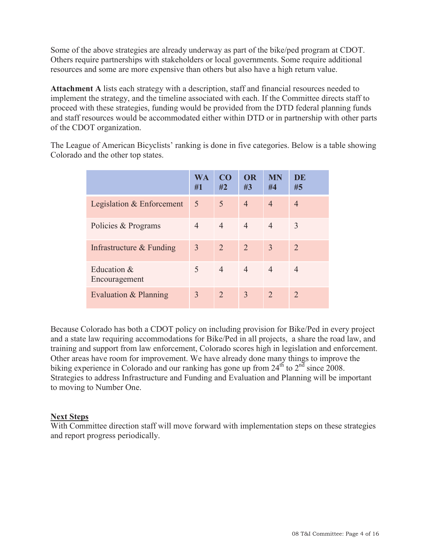Some of the above strategies are already underway as part of the bike/ped program at CDOT. Others require partnerships with stakeholders or local governments. Some require additional resources and some are more expensive than others but also have a high return value.

**Attachment A** lists each strategy with a description, staff and financial resources needed to implement the strategy, and the timeline associated with each. If the Committee directs staff to proceed with these strategies, funding would be provided from the DTD federal planning funds and staff resources would be accommodated either within DTD or in partnership with other parts of the CDOT organization.

The League of American Bicyclists' ranking is done in five categories. Below is a table showing Colorado and the other top states.

|                              | WA<br>#1       | C <sub>O</sub><br>#2 | <b>OR</b><br>#3 | <b>MN</b><br>#4 | DE<br>#5              |
|------------------------------|----------------|----------------------|-----------------|-----------------|-----------------------|
| Legislation & Enforcement    | 5              | 5                    | $\overline{4}$  | $\overline{4}$  | $\overline{4}$        |
| Policies & Programs          | $\overline{4}$ | $\overline{4}$       | $\overline{4}$  | $\overline{4}$  | 3                     |
| Infrastructure & Funding     | $\overline{3}$ | 2                    | $\overline{2}$  | 3               | $\mathcal{D}_{\cdot}$ |
| Education &<br>Encouragement | 5              | $\overline{4}$       | $\overline{4}$  | $\overline{4}$  | 4                     |
| Evaluation & Planning        | $\overline{3}$ | $\overline{2}$       | 3               | 2               | 2                     |

Because Colorado has both a CDOT policy on including provision for Bike/Ped in every project and a state law requiring accommodations for Bike/Ped in all projects, a share the road law, and training and support from law enforcement, Colorado scores high in legislation and enforcement. Other areas have room for improvement. We have already done many things to improve the biking experience in Colorado and our ranking has gone up from  $24<sup>th</sup>$  to  $2<sup>nd</sup>$  since 2008. Strategies to address Infrastructure and Funding and Evaluation and Planning will be important to moving to Number One.

#### **Next Steps**

With Committee direction staff will move forward with implementation steps on these strategies and report progress periodically.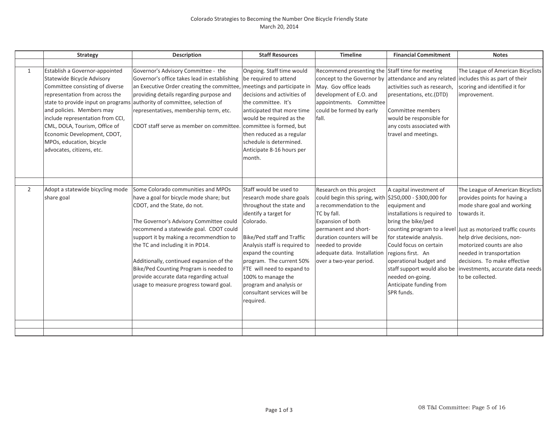#### Colorado Strategies to Becoming the Number One Bicycle Friendly State March 20, 2014

| <b>Strategy</b> |                                                                                                                                                                                                                                                                                                                                                                          | <b>Description</b>                                                                                                                                                                                                                                                                                                                                                                                                                                          | <b>Staff Resources</b>                                                                                                                                                                                                                                                                                                                                             | <b>Timeline</b>                                                                                                                                                                                                                                                                         | <b>Financial Commitment</b>                                                                                                                                                                                                                                                                                                   | <b>Notes</b>                                                                                                                                                                                                                                                                                                                       |  |
|-----------------|--------------------------------------------------------------------------------------------------------------------------------------------------------------------------------------------------------------------------------------------------------------------------------------------------------------------------------------------------------------------------|-------------------------------------------------------------------------------------------------------------------------------------------------------------------------------------------------------------------------------------------------------------------------------------------------------------------------------------------------------------------------------------------------------------------------------------------------------------|--------------------------------------------------------------------------------------------------------------------------------------------------------------------------------------------------------------------------------------------------------------------------------------------------------------------------------------------------------------------|-----------------------------------------------------------------------------------------------------------------------------------------------------------------------------------------------------------------------------------------------------------------------------------------|-------------------------------------------------------------------------------------------------------------------------------------------------------------------------------------------------------------------------------------------------------------------------------------------------------------------------------|------------------------------------------------------------------------------------------------------------------------------------------------------------------------------------------------------------------------------------------------------------------------------------------------------------------------------------|--|
|                 |                                                                                                                                                                                                                                                                                                                                                                          |                                                                                                                                                                                                                                                                                                                                                                                                                                                             |                                                                                                                                                                                                                                                                                                                                                                    |                                                                                                                                                                                                                                                                                         |                                                                                                                                                                                                                                                                                                                               |                                                                                                                                                                                                                                                                                                                                    |  |
| 1               | Establish a Governor-appointed<br><b>Statewide Bicycle Advisory</b><br>Committee consisting of diverse<br>representation from across the<br>state to provide input on programs<br>and policies. Members may<br>include representation from CCI,<br>CML, DOLA, Tourism, Office of<br>Economic Development, CDOT,<br>MPOs, education, bicycle<br>advocates, citizens, etc. | Governor's Advisory Committee - the<br>Governor's office takes lead in establishing<br>an Executive Order creating the committee, meetings and participate in<br>providing details regarding purpose and<br>authority of committee, selection of<br>representatives, membership term, etc.<br>CDOT staff serve as member on committee.                                                                                                                      | Ongoing. Staff time would<br>be required to attend<br>decisions and activities of<br>the committee. It's<br>anticipated that more time<br>would be required as the<br>committee is formed, but<br>then reduced as a regular<br>schedule is determined.<br>Anticipate 8-16 hours per<br>month.                                                                      | Recommend presenting the Staff time for meeting<br>May. Gov office leads<br>development of E.O. and<br>appointments. Committee<br>could be formed by early<br>fall.                                                                                                                     | concept to the Governor by attendance and any related<br>activities such as research.<br>presentations, etc.(DTD)<br>Committee members<br>would be responsible for<br>any costs associated with<br>travel and meetings.                                                                                                       | The League of American Bicyclists<br>includes this as part of their<br>scoring and identified it for<br>improvement.                                                                                                                                                                                                               |  |
| $\overline{2}$  | Adopt a statewide bicycling mode<br>share goal                                                                                                                                                                                                                                                                                                                           | Some Colorado communities and MPOs<br>have a goal for bicycle mode share; but<br>CDOT, and the State, do not.<br>The Governor's Advisory Committee could<br>recommend a statewide goal. CDOT could<br>support it by making a recommendtion to<br>the TC and including it in PD14.<br>Additionally, continued expansion of the<br>Bike/Ped Counting Program is needed to<br>provide accurate data regarding actual<br>usage to measure progress toward goal. | Staff would be used to<br>research mode share goals<br>throughout the state and<br>identify a target for<br>Colorado.<br>Bike/Ped staff and Traffic<br>Analysis staff is required to<br>expand the counting<br>program. The current 50%<br>FTE will need to expand to<br>100% to manage the<br>program and analysis or<br>consultant services will be<br>required. | Research on this project<br>could begin this spring, with $ $250,000 - $300,000$ for<br>a recommendation to the<br>TC by fall.<br>Expansion of both<br>permanent and short-<br>duration counters will be<br>needed to provide<br>adequate data. Installation<br>over a two-year period. | A capital investment of<br>equipment and<br>installations is required to<br>bring the bike/ped<br>counting program to a level<br>for statewide analysis.<br>Could focus on certain<br>regions first. An<br>operational budget and<br>staff support would also be<br>needed on-going.<br>Anticipate funding from<br>SPR funds. | The League of American Bicyclists<br>provides points for having a<br>mode share goal and working<br>towards it.<br>Just as motorized traffic counts<br>help drive decisions, non-<br>motorized counts are also<br>needed in transportation<br>decisions. To make effective<br>investments, accurate data needs<br>to be collected. |  |
|                 |                                                                                                                                                                                                                                                                                                                                                                          |                                                                                                                                                                                                                                                                                                                                                                                                                                                             |                                                                                                                                                                                                                                                                                                                                                                    |                                                                                                                                                                                                                                                                                         |                                                                                                                                                                                                                                                                                                                               |                                                                                                                                                                                                                                                                                                                                    |  |
|                 |                                                                                                                                                                                                                                                                                                                                                                          |                                                                                                                                                                                                                                                                                                                                                                                                                                                             |                                                                                                                                                                                                                                                                                                                                                                    |                                                                                                                                                                                                                                                                                         |                                                                                                                                                                                                                                                                                                                               |                                                                                                                                                                                                                                                                                                                                    |  |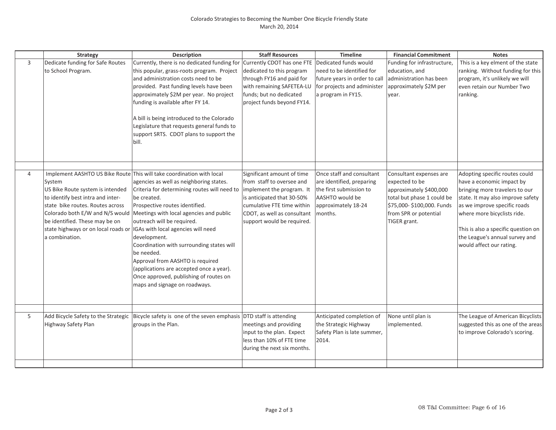|                | <b>Strategy</b>                                                                                                                                                                                                                                   | Description                                                                                                                                                                                                                                                                                                                                                                                                                                                                                                                                                            | <b>Staff Resources</b>                                                                                                                                                                                        | <b>Timeline</b>                                                                                                                          | <b>Financial Commitment</b>                                                                                                                                              | <b>Notes</b>                                                                                                                                                                                                                                                                                           |
|----------------|---------------------------------------------------------------------------------------------------------------------------------------------------------------------------------------------------------------------------------------------------|------------------------------------------------------------------------------------------------------------------------------------------------------------------------------------------------------------------------------------------------------------------------------------------------------------------------------------------------------------------------------------------------------------------------------------------------------------------------------------------------------------------------------------------------------------------------|---------------------------------------------------------------------------------------------------------------------------------------------------------------------------------------------------------------|------------------------------------------------------------------------------------------------------------------------------------------|--------------------------------------------------------------------------------------------------------------------------------------------------------------------------|--------------------------------------------------------------------------------------------------------------------------------------------------------------------------------------------------------------------------------------------------------------------------------------------------------|
| $\overline{3}$ | Dedicate funding for Safe Routes<br>to School Program.                                                                                                                                                                                            | Currently, there is no dedicated funding for<br>this popular, grass-roots program. Project<br>and administration costs need to be<br>provided. Past funding levels have been<br>approximately \$2M per year. No project<br>funding is available after FY 14.<br>A bill is being introduced to the Colorado<br>Legislature that requests general funds to<br>support SRTS. CDOT plans to support the<br>bill.                                                                                                                                                           | Currently CDOT has one FTE<br>dedicated to this program<br>through FY16 and paid for<br>with remaining SAFETEA-LU<br>funds; but no dedicated<br>project funds beyond FY14.                                    | Dedicated funds would<br>need to be identified for<br>future years in order to call<br>for projects and administer<br>a program in FY15. | Funding for infrastructure,<br>education, and<br>administration has been<br>approximately \$2M per<br>year.                                                              | This is a key elment of the state<br>ranking. Without funding for this<br>program, it's unlikely we will<br>even retain our Number Two<br>ranking.                                                                                                                                                     |
| 4              | System<br>US Bike Route system is intended<br>to identify best intra and inter-<br>state bike routes. Routes across<br>Colorado both E/W and N/S would<br>be identified. These may be on<br>state highways or on local roads or<br>a combination. | Implement AASHTO US Bike Route This will take coordination with local<br>agencies as well as neighboring states.<br>Criteria for determining routes will need to<br>be created.<br>Prospective routes identified.<br>Meetings with local agencies and public<br>outreach will be required.<br>IGAs with local agencies will need<br>development.<br>Coordination with surrounding states will<br>be needed.<br>Approval from AASHTO is required<br>(applications are accepted once a year).<br>Once approved, publishing of routes on<br>maps and signage on roadways. | Significant amount of time<br>from staff to oversee and<br>implement the program. It<br>is anticipated that 30-50%<br>cumulative FTE time within<br>CDOT, as well as consultant<br>support would be required. | Once staff and consultant<br>are identified, preparing<br>the first submission to<br>AASHTO would be<br>approximately 18-24<br>months.   | Consultant expenses are<br>expected to be<br>approximately \$400,000<br>total but phase 1 could be<br>\$75,000-\$100,000. Funds<br>from SPR or potential<br>TIGER grant. | Adopting specific routes could<br>have a economic impact by<br>bringing more travelers to our<br>state. It may also improve safety<br>as we improve specific roads<br>where more bicyclists ride.<br>This is also a specific question on<br>the League's annual survey and<br>would affect our rating. |
|                |                                                                                                                                                                                                                                                   |                                                                                                                                                                                                                                                                                                                                                                                                                                                                                                                                                                        |                                                                                                                                                                                                               |                                                                                                                                          |                                                                                                                                                                          |                                                                                                                                                                                                                                                                                                        |
| 5              | Add Bicycle Safety to the Strategic<br>Highway Safety Plan                                                                                                                                                                                        | Bicycle safety is one of the seven emphasis DTD staff is attending<br>groups in the Plan.                                                                                                                                                                                                                                                                                                                                                                                                                                                                              | meetings and providing<br>input to the plan. Expect<br>less than 10% of FTE time<br>during the next six months.                                                                                               | Anticipated completion of<br>the Strategic Highway<br>Safety Plan is late summer,<br>2014.                                               | None until plan is<br>implemented.                                                                                                                                       | The League of American Bicyclists<br>suggested this as one of the areas<br>to improve Colorado's scoring.                                                                                                                                                                                              |
|                |                                                                                                                                                                                                                                                   |                                                                                                                                                                                                                                                                                                                                                                                                                                                                                                                                                                        |                                                                                                                                                                                                               |                                                                                                                                          |                                                                                                                                                                          |                                                                                                                                                                                                                                                                                                        |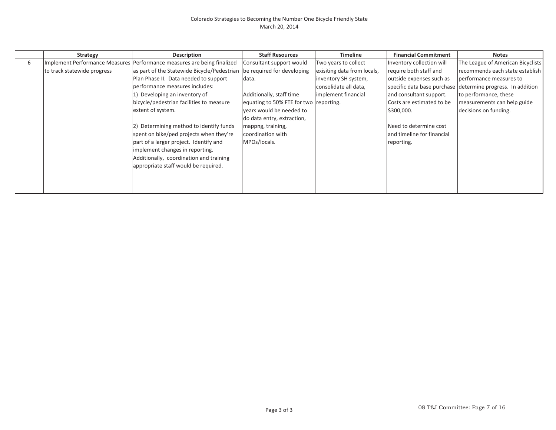|   | Strategy                    | <b>Description</b>                                                      | <b>Staff Resources</b>                 | Timeline                    | <b>Financial Commitment</b> | <b>Notes</b>                                                |
|---|-----------------------------|-------------------------------------------------------------------------|----------------------------------------|-----------------------------|-----------------------------|-------------------------------------------------------------|
| 6 |                             | Implement Performance Measures Performance measures are being finalized | Consultant support would               | Two years to collect        | Inventory collection will   | The League of American Bicyclists                           |
|   | to track statewide progress | as part of the Statewide Bicycle/Pedestrian be required for developing  |                                        | exisiting data from locals, | require both staff and      | recommends each state establish                             |
|   |                             | Plan Phase II. Data needed to support                                   | data.                                  | inventory SH system,        | outside expenses such as    | performance measures to                                     |
|   |                             | performance measures includes:                                          |                                        | consolidate all data,       |                             | specific data base purchase determine progress. In addition |
|   |                             | 1) Developing an inventory of                                           | Additionally, staff time               | implement financial         | and consultant support.     | to performance, these                                       |
|   |                             | bicycle/pedestrian facilities to measure                                | equating to 50% FTE for two reporting. |                             | Costs are estimated to be   | measurements can help guide                                 |
|   |                             | extent of system.                                                       | years would be needed to               |                             | \$300,000.                  | decisions on funding.                                       |
|   |                             |                                                                         | do data entry, extraction,             |                             |                             |                                                             |
|   |                             | 2) Determining method to identify funds                                 | mappng, training,                      |                             | Need to determine cost      |                                                             |
|   |                             | spent on bike/ped projects when they're                                 | coordination with                      |                             | and timeline for financial  |                                                             |
|   |                             | part of a larger project. Identify and                                  | MPOs/locals.                           |                             | reporting.                  |                                                             |
|   |                             | implement changes in reporting.                                         |                                        |                             |                             |                                                             |
|   |                             | Additionally, coordination and training                                 |                                        |                             |                             |                                                             |
|   |                             | appropriate staff would be required.                                    |                                        |                             |                             |                                                             |
|   |                             |                                                                         |                                        |                             |                             |                                                             |
|   |                             |                                                                         |                                        |                             |                             |                                                             |
|   |                             |                                                                         |                                        |                             |                             |                                                             |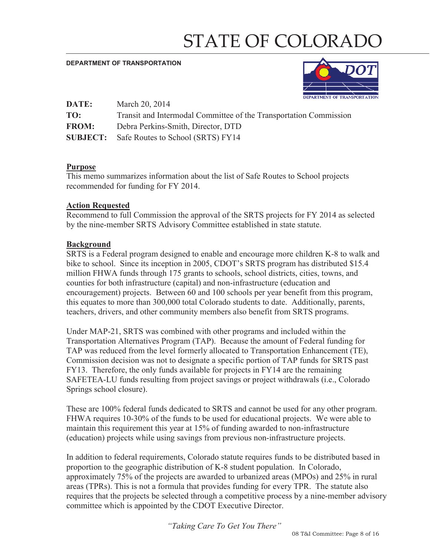# STATE OF COLORADO

#### **DEPARTMENT OF TRANSPORTATION**



| DATE:        | March 20, 2014                                                    |
|--------------|-------------------------------------------------------------------|
| TO:          | Transit and Intermodal Committee of the Transportation Commission |
| <b>FROM:</b> | Debra Perkins-Smith, Director, DTD                                |
|              | <b>SUBJECT:</b> Safe Routes to School (SRTS) FY14                 |

#### **Purpose**

This memo summarizes information about the list of Safe Routes to School projects recommended for funding for FY 2014.

#### **Action Requested**

Recommend to full Commission the approval of the SRTS projects for FY 2014 as selected by the nine-member SRTS Advisory Committee established in state statute.

#### **Background**

SRTS is a Federal program designed to enable and encourage more children K-8 to walk and bike to school. Since its inception in 2005, CDOT's SRTS program has distributed \$15.4 million FHWA funds through 175 grants to schools, school districts, cities, towns, and counties for both infrastructure (capital) and non-infrastructure (education and encouragement) projects. Between 60 and 100 schools per year benefit from this program, this equates to more than 300,000 total Colorado students to date. Additionally, parents, teachers, drivers, and other community members also benefit from SRTS programs.

Under MAP-21, SRTS was combined with other programs and included within the Transportation Alternatives Program (TAP). Because the amount of Federal funding for TAP was reduced from the level formerly allocated to Transportation Enhancement (TE), Commission decision was not to designate a specific portion of TAP funds for SRTS past FY13. Therefore, the only funds available for projects in FY14 are the remaining SAFETEA-LU funds resulting from project savings or project withdrawals (i.e., Colorado Springs school closure).

These are 100% federal funds dedicated to SRTS and cannot be used for any other program. FHWA requires 10-30% of the funds to be used for educational projects. We were able to maintain this requirement this year at 15% of funding awarded to non-infrastructure (education) projects while using savings from previous non-infrastructure projects.

In addition to federal requirements, Colorado statute requires funds to be distributed based in proportion to the geographic distribution of K-8 student population. In Colorado, approximately 75% of the projects are awarded to urbanized areas (MPOs) and 25% in rural areas (TPRs). This is not a formula that provides funding for every TPR. The statute also requires that the projects be selected through a competitive process by a nine-member advisory committee which is appointed by the CDOT Executive Director.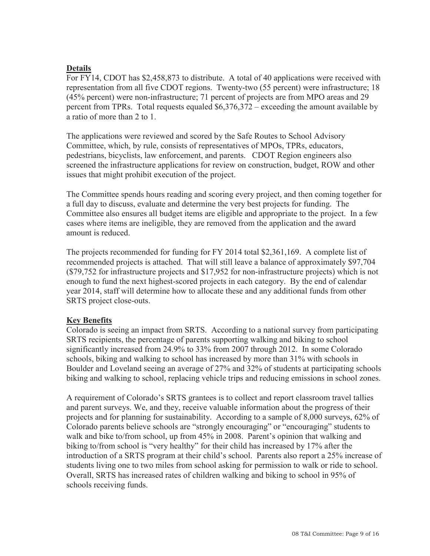#### **Details**

For FY14, CDOT has \$2,458,873 to distribute. A total of 40 applications were received with representation from all five CDOT regions. Twenty-two (55 percent) were infrastructure; 18 (45% percent) were non-infrastructure; 71 percent of projects are from MPO areas and 29 percent from TPRs. Total requests equaled \$6,376,372 – exceeding the amount available by a ratio of more than 2 to 1.

The applications were reviewed and scored by the Safe Routes to School Advisory Committee, which, by rule, consists of representatives of MPOs, TPRs, educators, pedestrians, bicyclists, law enforcement, and parents. CDOT Region engineers also screened the infrastructure applications for review on construction, budget, ROW and other issues that might prohibit execution of the project.

The Committee spends hours reading and scoring every project, and then coming together for a full day to discuss, evaluate and determine the very best projects for funding. The Committee also ensures all budget items are eligible and appropriate to the project. In a few cases where items are ineligible, they are removed from the application and the award amount is reduced.

The projects recommended for funding for FY 2014 total \$2,361,169. A complete list of recommended projects is attached. That will still leave a balance of approximately \$97,704 (\$79,752 for infrastructure projects and \$17,952 for non-infrastructure projects) which is not enough to fund the next highest-scored projects in each category. By the end of calendar year 2014, staff will determine how to allocate these and any additional funds from other SRTS project close-outs.

#### **Key Benefits**

Colorado is seeing an impact from SRTS. According to a national survey from participating SRTS recipients, the percentage of parents supporting walking and biking to school significantly increased from 24.9% to 33% from 2007 through 2012. In some Colorado schools, biking and walking to school has increased by more than 31% with schools in Boulder and Loveland seeing an average of 27% and 32% of students at participating schools biking and walking to school, replacing vehicle trips and reducing emissions in school zones.

A requirement of Colorado's SRTS grantees is to collect and report classroom travel tallies and parent surveys. We, and they, receive valuable information about the progress of their projects and for planning for sustainability. According to a sample of 8,000 surveys, 62% of Colorado parents believe schools are "strongly encouraging" or "encouraging" students to walk and bike to/from school, up from 45% in 2008. Parent's opinion that walking and biking to/from school is "very healthy" for their child has increased by 17% after the introduction of a SRTS program at their child's school. Parents also report a 25% increase of students living one to two miles from school asking for permission to walk or ride to school. Overall, SRTS has increased rates of children walking and biking to school in 95% of schools receiving funds.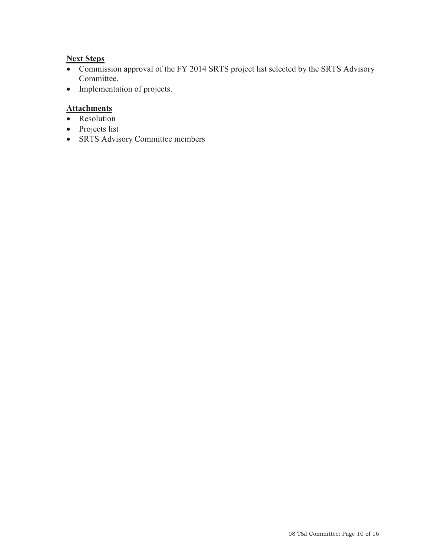### **Next Steps**

- Commission approval of the FY 2014 SRTS project list selected by the SRTS Advisory Committee.
- Implementation of projects.

## **Attachments**

- Resolution
- $\bullet$  Projects list
- SRTS Advisory Committee members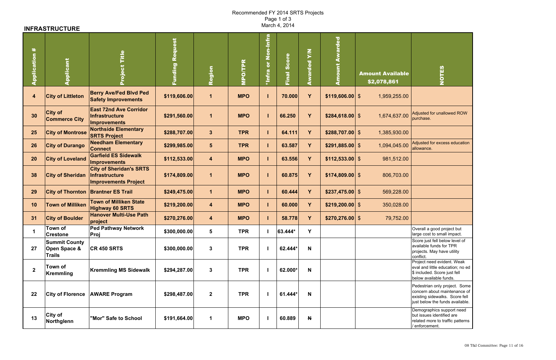# Recommended FY 2014 SRTS Projects Page 1 of 3<br>March 4, 2014

## **INFRASTRUCTURE**

| #<br>Application        | Applicant                                                        | Title<br>roject                                                                        | $\mathbf{g}$<br>ਤ<br>ਹ<br>Ñ.<br>unding | Region                  | <b>O/TPR</b><br>$\tilde{\mathbf{F}}$ | Non-Infr:<br>$\overline{\bullet}$<br><b>*Infra</b> | Final Score | $\sum_{i=1}^{n}$<br>Awarded | ount Awarded      | <b>Amount Available</b><br>\$2,078,861 | <b>Saltes</b>                                                                                                                      |
|-------------------------|------------------------------------------------------------------|----------------------------------------------------------------------------------------|----------------------------------------|-------------------------|--------------------------------------|----------------------------------------------------|-------------|-----------------------------|-------------------|----------------------------------------|------------------------------------------------------------------------------------------------------------------------------------|
| $\overline{\mathbf{4}}$ | <b>City of Littleton</b>                                         | <b>Berry Ave/Fed Blvd Ped</b><br><b>Safety Improvements</b>                            | \$119,606.00                           | $\mathbf{1}$            | <b>MPO</b>                           |                                                    | 70.000      | Y                           | $$119,606.00$ \\$ | 1,959,255.00                           |                                                                                                                                    |
| 30                      | <b>City of</b><br><b>Commerce City</b>                           | <b>East 72nd Ave Corridor</b><br><b>Infrastructure</b><br><b>Improvements</b>          | \$291,560.00                           | $\mathbf 1$             | <b>MPO</b>                           |                                                    | 66.250      | Y                           | $$284,618.00$ \\$ | 1,674,637.00                           | Adjusted for unallowed ROW<br>purchase.                                                                                            |
| 25                      | <b>City of Montrose</b>                                          | <b>Northside Elementary</b><br><b>SRTS Project</b>                                     | \$288,707.00                           | $3\phantom{a}$          | <b>TPR</b>                           |                                                    | 64.111      | Y                           | $$288,707.00$ \$  | 1,385,930.00                           |                                                                                                                                    |
| 26                      | <b>City of Durango</b>                                           | <b>Needham Elementary</b><br><b>Connect</b>                                            | \$299,985.00                           | $5\phantom{.}$          | <b>TPR</b>                           |                                                    | 63.587      | Y                           | $$291,885.00$ \\$ | 1,094,045.00                           | Adjusted for excess education<br>allowance.                                                                                        |
| 20                      | <b>City of Loveland</b>                                          | <b>Garfield ES Sidewalk</b><br><b>Improvements</b>                                     | \$112,533.00                           | $\overline{\mathbf{4}}$ | <b>MPO</b>                           |                                                    | 63.556      | Y                           | $$112,533.00$ \\$ | 981,512.00                             |                                                                                                                                    |
| 38                      | <b>City of Sheridan</b>                                          | <b>City of Sheridan's SRTS</b><br><b>Infrastructure</b><br><b>Improvements Project</b> | \$174,809.00                           | $\mathbf 1$             | <b>MPO</b>                           |                                                    | 60.875      | Y                           | $$174,809.00$ \\$ | 806,703.00                             |                                                                                                                                    |
| 29                      |                                                                  | <b>City of Thornton Brantner ES Trail</b>                                              | \$249,475.00                           | $\mathbf 1$             | <b>MPO</b>                           |                                                    | 60.444      | Y                           | $$237,475.00$ \\$ | 569,228.00                             |                                                                                                                                    |
| 10                      | <b>Town of Milliken</b>                                          | <b>Town of Milliken State</b><br><b>Highway 60 SRTS</b>                                | \$219,200.00                           | $\overline{\mathbf{4}}$ | <b>MPO</b>                           |                                                    | 60.000      | Y                           | $$219,200.00$ \\$ | 350,028.00                             |                                                                                                                                    |
| 31                      | <b>City of Boulder</b>                                           | <b>Hanover Multi-Use Path</b><br>project                                               | \$270,276.00                           | $\overline{\mathbf{4}}$ | <b>MPO</b>                           |                                                    | 58.778      | Y                           | $$270,276.00$ \\$ | 79,752.00                              |                                                                                                                                    |
|                         | <b>Town of</b><br><b>Crestone</b>                                | <b>Ped Pathway Network</b><br>Proj                                                     | \$300,000.00                           | $5\phantom{.0}$         | <b>TPR</b>                           |                                                    | 63.444*     | Y                           |                   |                                        | Overall a good project but<br>large cost to small impact.                                                                          |
| 27                      | <b>Summit County</b><br><b>Open Space &amp;</b><br><b>Trails</b> | <b>CR 450 SRTS</b>                                                                     | \$300,000.00                           | $\mathbf{3}$            | <b>TPR</b>                           |                                                    | 62.444*     | N                           |                   |                                        | Score just fell below level of<br>available funds for TPR<br>projects. May have utility<br>conflict.                               |
| $\mathbf{2}$            | <b>Town of</b><br><b>Kremmling</b>                               | <b>Kremmling MS Sidewalk</b>                                                           | \$294,287.00                           | $\mathbf{3}$            | <b>TPR</b>                           |                                                    | 62.000*     | N                           |                   |                                        | Project need evident. Weak<br>eval and little education; no ed<br>\$ included. Score just fell<br>below available funds.           |
| 22                      | <b>City of Florence</b>                                          | <b>AWARE Program</b>                                                                   | \$298,487.00                           | $\mathbf{2}$            | <b>TPR</b>                           |                                                    | 61.444*     | N                           |                   |                                        | Pedestrian only project. Some<br>concern about maintenance of<br>existing sidewalks. Score fell<br>just below the funds available. |
| 13                      | <b>City of</b><br>Northglenn                                     | "Mor" Safe to School                                                                   | \$191,664.00                           | $\mathbf 1$             | <b>MPO</b>                           |                                                    | 60.889      | N                           |                   |                                        | Demographics support need<br>but issues identified are<br>related more to traffic patterns<br>/ enforcement.                       |

| <b>Adjusted for unallowed ROW</b><br>purchase.                                                                                     |
|------------------------------------------------------------------------------------------------------------------------------------|
|                                                                                                                                    |
| Adjusted for excess education<br>allowance.                                                                                        |
|                                                                                                                                    |
|                                                                                                                                    |
|                                                                                                                                    |
|                                                                                                                                    |
|                                                                                                                                    |
| Overall a good project but<br>large cost to small impact.                                                                          |
| Score just fell below level of<br>available funds for TPR<br>projects. May have utility<br>conflict.                               |
| Project need evident. Weak<br>eval and little education; no ed<br>\$ included. Score just fell<br>below available funds.           |
| Pedestrian only project. Some<br>concern about maintenance of<br>existing sidewalks. Score fell<br>just below the funds available. |
| Demographics support need<br>but issues identified are<br>related more to traffic patterns<br>/ enforcement.                       |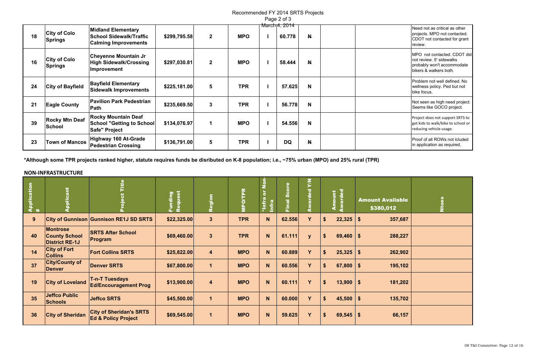| Need not as critical as other<br>projects. MPO not contacted. |
|---------------------------------------------------------------|
| CDOT not contacted for grant                                  |
| review.                                                       |
|                                                               |

Recommended FY 2014 SRTS Projects Page 2 of 3

|    |                                       |                                                                                            |              |                      |            | $1$ ugu $\sim$ 01 0                       |                |  |                                                                                                                  |
|----|---------------------------------------|--------------------------------------------------------------------------------------------|--------------|----------------------|------------|-------------------------------------------|----------------|--|------------------------------------------------------------------------------------------------------------------|
| 18 | <b>City of Colo</b><br><b>Springs</b> | <b>Midland Elementary</b><br><b>School Sidewalk/Traffic</b><br><b>Calming Improvements</b> | \$299,795.58 | $\mathbf{2}$         | <b>MPO</b> | <u>March<sub>1</sub>4, 2014</u><br>60.778 | $\mathbf{N}$   |  | Need not as critical as other<br>projects. MPO not contacted.<br>CDOT not contacted for grant<br>review.         |
| 16 | <b>City of Colo</b><br><b>Springs</b> | Cheyenne Mountain Jr<br><b>High Sidewalk/Crossing</b><br>Improvement                       | \$297,030.81 | $\mathbf{2}$         | <b>MPO</b> | 58.444                                    | <b>N</b>       |  | MPO not contacted. CDOT did<br>Inot review. 5' sidewalks<br>probably won't accommodate<br>bikers & walkers both. |
| 24 | <b>City of Bayfield</b>               | <b>Bayfield Elementary</b><br><b>Sidewalk Improvements</b>                                 | \$225,181.00 | $5\phantom{1}$       | <b>TPR</b> | 57.625                                    | N              |  | Problem not well defined. No<br>wellness policy. Ped but not<br>bike focus.                                      |
| 21 | <b>Eagle County</b>                   | <b>Pavilion Park Pedestrian</b><br>Path                                                    | \$235,669.50 | $\mathbf{3}$         | <b>TPR</b> | 56.778                                    | N <sub>1</sub> |  | Not seen as high need project.<br>Seems like GOCO project.                                                       |
| 39 | <b>Rocky Mtn Deaf</b><br>School       | <b>Rocky Mountain Deaf</b><br><b>School "Getting to School</b><br>Safe" Project            | \$134,076.97 | $\blacktriangleleft$ | <b>MPO</b> | 54.556                                    | N              |  | Project does not support SRTS to<br>get kids to walk/bike to school or<br>reducing vehicle usage.                |
| 23 | <b>Town of Mancos</b>                 | Highway 160 At-Grade<br><b>Pedestrian Crossing</b>                                         | \$136,791.00 | $5\phantom{1}$       | <b>TPR</b> | <b>DQ</b>                                 | $\mathbf{N}$   |  | Proof of all ROWs not icluded<br>in application as required.                                                     |

**\*Although some TPR projects ranked higher, statute requires funds be disributed on K-8 population; i.e., ~75% urban (MPO) and 25% rural (TPR)**



| <b>Application</b><br># | ant<br>$\mathbf{c}$<br><u>hiddy</u>                              | ž                                                                | Request<br><b>Funding</b> | Region                  | MPOTPR     | $\overline{\mathbf{5}}$<br>E<br>$\overline{\bullet}$<br>*Infra<br>Infra | $\overline{\bullet}$<br>ŏ<br>Ŭ,<br>Final | $\sum_{i=1}^{n}$<br><b>Ped</b> |                   | arded<br>Amount |                             | <b>Amount Available</b><br>\$380,012 |
|-------------------------|------------------------------------------------------------------|------------------------------------------------------------------|---------------------------|-------------------------|------------|-------------------------------------------------------------------------|------------------------------------------|--------------------------------|-------------------|-----------------|-----------------------------|--------------------------------------|
| 9                       |                                                                  | <b>City of Gunnison Gunnison RE1J SD SRTS</b>                    | \$22,325.00               | $\mathbf{3}$            | <b>TPR</b> | N                                                                       | 62.556                                   | Y                              | \$                | 22,325          | $\boldsymbol{\hat{\theta}}$ | 357,687                              |
| 40                      | <b>Montrose</b><br><b>County School</b><br><b>District RE-1J</b> | <b>SRTS After School</b><br><b>Program</b>                       | \$69,460.00               | $\overline{\mathbf{3}}$ | <b>TPR</b> | N                                                                       | 61.111                                   | $\mathbf{V}$                   | $\boldsymbol{\$}$ | 69,460          | \$                          | 288,227                              |
| 14                      | <b>City of Fort</b><br><b>Collins</b>                            | <b>Fort Collins SRTS</b>                                         | \$25,822.00               | $\overline{\mathbf{4}}$ | <b>MPO</b> | N                                                                       | 60.889                                   | Y                              | $\boldsymbol{\$}$ | 25,325          | \$                          | 262,902                              |
| 37                      | <b>City/County of</b><br><b>Denver</b>                           | <b>Denver SRTS</b>                                               | \$67,800.00               | $\mathbf 1$             | <b>MPO</b> | N                                                                       | 60.556                                   | Y                              | $\boldsymbol{\$}$ | 67,800          | $\boldsymbol{\$}$           | 195,102                              |
| 19                      | <b>City of Loveland</b>                                          | <b>T-n-T Tuesdays</b><br><b>Ed/Encouragement Prog</b>            | \$13,900.00               | $\overline{\mathbf{4}}$ | <b>MPO</b> | N                                                                       | 60.111                                   | Y                              | $\boldsymbol{\$}$ | 13,900          | \$                          | 181,202                              |
| 35                      | <b>Jeffco Public</b><br><b>Schools</b>                           | <b>Jeffco SRTS</b>                                               | \$45,500.00               | $\mathbf{1}$            | <b>MPO</b> | N                                                                       | 60.000                                   | Y                              | \$                | 45,500          | $\frac{1}{2}$               | 135,702                              |
| 36                      | <b>City of Sheridan</b>                                          | <b>City of Sheridan's SRTS</b><br><b>Ed &amp; Policy Project</b> | \$69,545.00               | $\vert$                 | <b>MPO</b> | N                                                                       | 59.625                                   | Y                              | $\boldsymbol{\$}$ | 69,545          | $\boldsymbol{\$}$           | 66,157                               |

#### **NON-INFRASTRUCTURE**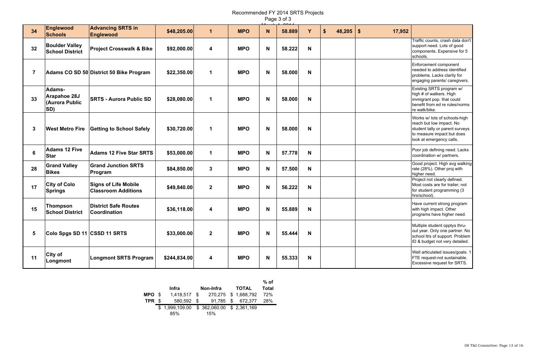Recommended FY 2014 SRTS Projects Page 3 of 3

| 34             | <b>Englewood</b><br><b>Schools</b>              | <b>Advancing SRTS in</b><br>Englewood                     | \$48,205.00  | $\mathbf 1$    | <b>MPO</b> | N | 58.889 | Y | \$<br>$48,205$ \$ | 17,952 |                                                                                                                                                        |
|----------------|-------------------------------------------------|-----------------------------------------------------------|--------------|----------------|------------|---|--------|---|-------------------|--------|--------------------------------------------------------------------------------------------------------------------------------------------------------|
| 32             | <b>Boulder Valley</b><br><b>School District</b> | <b>Project Crosswalk &amp; Bike</b>                       | \$92,000.00  | 4              | <b>MPO</b> | N | 58.222 | N |                   |        | Traffic counts, crash data don't<br>support need. Lots of good<br>components. Expensive for 5<br>schools.                                              |
| $\overline{7}$ |                                                 | Adams CO SD 50 District 50 Bike Program                   | \$22,350.00  | $\mathbf 1$    | <b>MPO</b> | N | 58.000 | N |                   |        | Enforcement component<br>needed to address identified<br>problems. Lacks clarity for<br>engaging parents/ caregivers.                                  |
| 33             | Adams-<br>Arapahoe 28J<br>(Aurora Public<br>SD) | <b>SRTS - Aurora Public SD</b>                            | \$28,080.00  | $\mathbf 1$    | <b>MPO</b> | N | 58.000 | N |                   |        | Existing SRTS program w/<br>high # of walkers. High<br>immigrant pop. that could<br>benefit from ed re rules/norms<br>re walk/bike.                    |
| 3              | <b>West Metro Fire</b>                          | <b>Getting to School Safely</b>                           | \$30,720.00  | $\mathbf 1$    | <b>MPO</b> | N | 58.000 | N |                   |        | Works w/ lots of schools-high<br>reach but low impact. No<br>student tally or parent surveys<br>to measure impact but does<br>look at emergency calls. |
| 6              | <b>Adams 12 Five</b><br><b>Star</b>             | <b>Adams 12 Five Star SRTS</b>                            | \$53,000.00  | $\mathbf 1$    | <b>MPO</b> | N | 57.778 | N |                   |        | Poor job defining need. Lacks<br>coordination w/ partners.                                                                                             |
| 28             | <b>Grand Valley</b><br><b>Bikes</b>             | <b>Grand Junction SRTS</b><br>Program                     | \$84,850.00  | $\mathbf{3}$   | <b>MPO</b> | N | 57.500 | N |                   |        | Good project. High avg walking<br>rate (28%). Other proj with<br>higher need.                                                                          |
| 17             | <b>City of Colo</b><br><b>Springs</b>           | <b>Signs of Life Mobile</b><br><b>Classroom Additions</b> | \$49,840.00  | $\mathbf{2}$   | <b>MPO</b> | N | 56.222 | N |                   |        | Project not clearly defined.<br>Most costs are for trailer; not<br>for student programming (3<br>hrs/school).                                          |
| 15             | <b>Thompson</b><br><b>School District</b>       | <b>District Safe Routes</b><br><b>Coordination</b>        | \$36,118.00  | 4              | <b>MPO</b> | N | 55.889 | N |                   |        | Have current strong program<br>with high impact. Other<br>programs have higher need.                                                                   |
| 5              | Colo Spgs SD 11 CSSD 11 SRTS                    |                                                           | \$33,000.00  | $\overline{2}$ | <b>MPO</b> | N | 55.444 | N |                   |        | Multiple student opptys thru-<br>out year. Only one partner. No<br>school Itrs of support. Problem<br>ID & budget not very detailed.                   |
| 11             | <b>City of</b><br>Longmont                      | <b>Longmont SRTS Program</b>                              | \$244,834.00 | 4              | <b>MPO</b> | N | 55.333 | N |                   |        | Well articulated issues/goals. 1<br>FTE request-not sustainable.<br>Excessive request for SRTS.                                                        |

|        | Infra                                   | Non-Infra                    | <b>TOTAL</b>         | $%$ of<br><b>Total</b> |  |  |
|--------|-----------------------------------------|------------------------------|----------------------|------------------------|--|--|
| MPO \$ | 1,418,517 \$                            |                              | 270,275 \$ 1,688,792 | 72%                    |  |  |
| TPR \$ |                                         | 580,592 \$ 91,785 \$ 672,377 |                      | 28%                    |  |  |
|        | \$1,999,109.00 \$362,060.00 \$2,361,169 |                              |                      |                        |  |  |
|        | 85%                                     | 15%                          |                      |                        |  |  |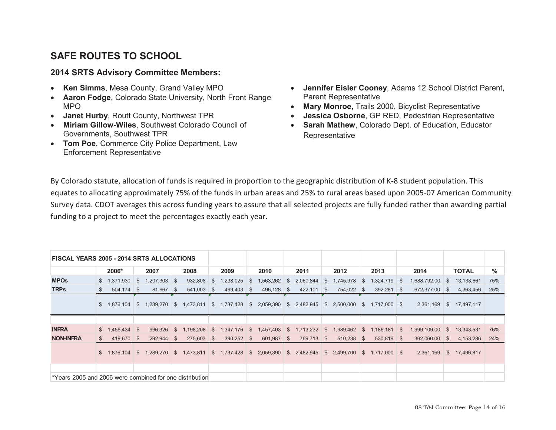# **SAFE ROUTES TO SCHOOL**

#### **2014 SRTS Advisory Committee Members:**

- $\bullet$ **Ken Simms**, Mesa County, Grand Valley MPO
- $\bullet$  **Aaron Fodge**, Colorado State University, North Front Range MPO
- $\bullet$ **Janet Hurby**, Routt County, Northwest TPR
- x **Miriam Gillow-Wiles**, Southwest Colorado Council of Governments, Southwest TPR
- **Tom Poe, Commerce City Police Department, Law** Enforcement Representative
- x **Jennifer Eisler Cooney**, Adams 12 School District Parent, Parent Representative
- x **Mary Monroe**, Trails 2000, Bicyclist Representative
- **Jessica Osborne**, GP RED, Pedestrian Representative
- **Sarah Mathew**, Colorado Dept. of Education, Educator **Representative**

By Colorado statute, allocation of funds is required in proportion to the geographic distribution of K-8 student population. This equates to allocating approximately 75% of the funds in urban areas and 25% to rural areas based upon 2005-07 American Community Survey data. CDOT averages this across funding years to assure that all selected projects are fully funded rather than awarding partial funding to a project to meet the percentages exactly each year.

| <b>FISCAL YEARS 2005 - 2014 SRTS ALLOCATIONS</b> |                   |                  |                                                                  |                                                     |                 |                             |                             |                           |               |                        |     |
|--------------------------------------------------|-------------------|------------------|------------------------------------------------------------------|-----------------------------------------------------|-----------------|-----------------------------|-----------------------------|---------------------------|---------------|------------------------|-----|
|                                                  | 2006*             | 2007             | 2008                                                             | 2009                                                | 2010<br>2011    |                             | 2012                        | 2013                      | 2014          | <b>TOTAL</b>           | %   |
| <b>MPOs</b>                                      | $$1,371,930$ \ \$ | $1,207,303$ \$   | $932,808$ \$                                                     | 1,238,025                                           | 1,563,262<br>S. | 2,060,844<br><b>S</b>       | 1,745,978<br><b>S</b>       | 1,324,719 \$<br>S.        | 1,688,792.00  | 13,133,661<br>S.       | 75% |
| <b>TRPs</b>                                      | $504,174$ \$      | $81,967$ \$      | $541,003$ \$                                                     | 499,403 \$                                          | $496,128$ \$    | 422,101                     | 754,022 \$<br>- \$          | $392,281$ \$              | 672,377.00    | 4,363,456<br>- S       | 25% |
|                                                  | \$1,876,104       | 1,289,270<br>∣S⊧ | \$1,473,811                                                      | \$1,737,428                                         | \$2,059,390     | \$2,482,945                 | 2,500,000<br>$\mathbb{S}^-$ | $$1,717,000$ \$           | 2,361,169     | 17,497,117<br>\$       |     |
|                                                  |                   |                  |                                                                  |                                                     |                 |                             |                             |                           |               |                        |     |
| <b>INFRA</b>                                     | $$1.456.434$ \ \$ | $996,326$ \$     |                                                                  | 1,198,208 \$ 1,347,176 \$ 1,457,403 \$ 1,713,232 \$ |                 |                             |                             | 1,989,462 \$ 1,186,181 \$ | 1,999,109.00  | <b>S</b><br>13,343,531 | 76% |
| <b>NON-INFRA</b>                                 | 419,670 \$<br>S.  | 292,944 \$       | 275,603 \$                                                       | 390,252 \$                                          | 601,987 \$      | 769,713 \$                  | $510,238$ \$                | 530,819 \$                | 362,060.00 \$ | 4,153,286              | 24% |
|                                                  |                   |                  | \$ 1,876,104 \$ 1,289,270 \$ 1,473,811 \$ 1,737,428 \$ 2,059,390 |                                                     |                 | 2,482,945<br>$\mathbb{S}^-$ | \$ 2,499,700                | $$1,717,000$ \$           | 2,361,169     | 17,496,817<br>S.       |     |
|                                                  |                   |                  |                                                                  |                                                     |                 |                             |                             |                           |               |                        |     |
|                                                  |                   |                  |                                                                  |                                                     |                 |                             |                             |                           |               |                        |     |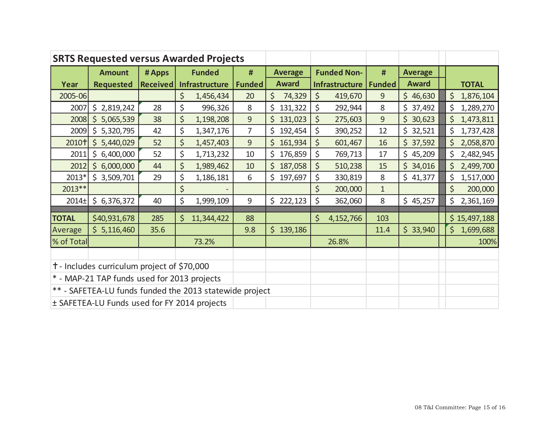|                                              | <b>SRTS Requested versus Awarded Projects</b>           |                 |                       |               |                |                |                       |             |               |                |         |              |
|----------------------------------------------|---------------------------------------------------------|-----------------|-----------------------|---------------|----------------|----------------|-----------------------|-------------|---------------|----------------|---------|--------------|
|                                              | <b>Amount</b>                                           | # Apps          |                       | <b>Funded</b> | #              | <b>Average</b> | <b>Funded Non-</b>    |             | #             | <b>Average</b> |         |              |
| Year                                         | <b>Requested</b>                                        | <b>Received</b> | <b>Infrastructure</b> |               | <b>Funded</b>  | <b>Award</b>   | <b>Infrastructure</b> |             | <b>Funded</b> | <b>Award</b>   |         | <b>TOTAL</b> |
| 2005-06                                      |                                                         |                 | \$                    | 1,456,434     | 20             | \$<br>74,329   | $\zeta$               | 419,670     | 9             | \$46,630       | \$      | 1,876,104    |
| 2007                                         | \$2,819,242                                             | 28              | \$                    | 996,326       | 8              | \$<br>131,322  | \$                    | 292,944     | 8             | \$37,492       | \$      | 1,289,270    |
| 2008                                         | $\zeta$<br>5,065,539                                    | 38              | \$                    | 1,198,208     | $\overline{9}$ | \$<br>131,023  | $\zeta$               | 275,603     | 9             | \$30,623       | \$      | 1,473,811    |
| 2009                                         | \$5,320,795                                             | 42              | \$                    | 1,347,176     | $\overline{7}$ | \$<br>192,454  | \$                    | 390,252     | 12            | \$32,521       | \$      | 1,737,428    |
| 2010+                                        | \$5,440,029                                             | 52              | \$                    | 1,457,403     | 9              | \$<br>161,934  | \$                    | 601,467     | 16            | \$37,592       | \$      | 2,058,870    |
| 2011                                         | \$6,400,000                                             | 52              | \$                    | 1,713,232     | 10             | \$176,859      | \$                    | 769,713     | 17            | \$45,209       | \$      | 2,482,945    |
| 2012                                         | \$6,000,000                                             | 44              | \$                    | 1,989,462     | 10             | \$<br>187,058  | \$                    | 510,238     | 15            | \$34,016       | $\zeta$ | 2,499,700    |
| 2013*                                        | \$3,509,701                                             | 29              | \$                    | 1,186,181     | 6              | \$197,697      | \$                    | 330,819     | 8             | \$41,377       | \$      | 1,517,000    |
| 2013**                                       |                                                         |                 | \$                    |               |                |                | \$                    | 200,000     | $\mathbf{1}$  |                | \$      | 200,000      |
| $2014+$                                      | \$6,376,372                                             | 40              | \$                    | 1,999,109     | 9              | \$222,123      | \$                    | 362,060     | 8             | \$45,257       | \$      | 2,361,169    |
| <b>TOTAL</b>                                 | \$40,931,678                                            | 285             | \$                    | 11,344,422    | 88             |                | \$                    | 4, 152, 766 | 103           |                |         | \$15,497,188 |
| Average                                      | \$5,116,460                                             | 35.6            |                       |               | 9.8            | \$139,186      |                       |             | 11.4          | \$33,940       |         | \$1,699,688  |
| % of Total                                   |                                                         |                 | 73.2%                 |               |                |                | 26.8%                 |             |               |                |         | 100%         |
|                                              |                                                         |                 |                       |               |                |                |                       |             |               |                |         |              |
| + - Includes curriculum project of \$70,000  |                                                         |                 |                       |               |                |                |                       |             |               |                |         |              |
| * - MAP-21 TAP funds used for 2013 projects  |                                                         |                 |                       |               |                |                |                       |             |               |                |         |              |
|                                              | ** - SAFETEA-LU funds funded the 2013 statewide project |                 |                       |               |                |                |                       |             |               |                |         |              |
| ± SAFETEA-LU Funds used for FY 2014 projects |                                                         |                 |                       |               |                |                |                       |             |               |                |         |              |